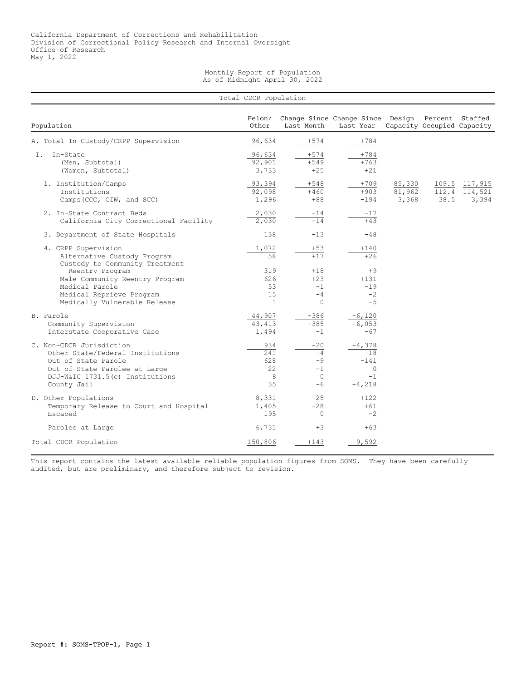## Monthly Report of Population As of Midnight April 30, 2022

|                                                                                                                                                                        | Total CDCR Population                    |                                                         |                                                               |                           |      |                                         |
|------------------------------------------------------------------------------------------------------------------------------------------------------------------------|------------------------------------------|---------------------------------------------------------|---------------------------------------------------------------|---------------------------|------|-----------------------------------------|
| Population                                                                                                                                                             | Felon/<br>Other                          | Last Month                                              | Change Since Change Since Design Percent Staffed<br>Last Year |                           |      | Capacity Occupied Capacity              |
| A. Total In-Custody/CRPP Supervision                                                                                                                                   | 96,634                                   | $+574$                                                  | $+784$                                                        |                           |      |                                         |
| In-State<br>T.<br>(Men, Subtotal)<br>(Women, Subtotal)                                                                                                                 | 96,634<br>92,901<br>3,733                | $+574$<br>$+549$<br>$+25$                               | $+784$<br>$+763$<br>$+21$                                     |                           |      |                                         |
| 1. Institution/Camps<br>Institutions<br>Camps (CCC, CIW, and SCC)                                                                                                      | 93,394<br>92,098<br>1,296                | $+548$<br>$+460$<br>$+88$                               | $+709$<br>$+903$<br>$-194$                                    | 85,330<br>81,962<br>3,368 | 38.5 | 109.5 117,915<br>112.4 114,521<br>3,394 |
| 2. In-State Contract Beds<br>California City Correctional Facility                                                                                                     | 2,030<br>2,030                           | $-14$<br>$-14$                                          | $-17$<br>$+4.3$                                               |                           |      |                                         |
| 3. Department of State Hospitals                                                                                                                                       | 138                                      | $-13$                                                   | $-48$                                                         |                           |      |                                         |
| 4. CRPP Supervision<br>Alternative Custody Program<br>Custody to Community Treatment                                                                                   | 1,072<br>58                              | $+53$<br>$+17$                                          | $+140$<br>$+26$                                               |                           |      |                                         |
| Reentry Program<br>Male Community Reentry Program<br>Medical Parole<br>Medical Reprieve Program<br>Medically Vulnerable Release                                        | 319<br>626<br>53<br>15<br>$\overline{1}$ | $+18$<br>$+23$<br>$-1$<br>$-4$<br>$\circ$               | $+9$<br>$+131$<br>$-19$<br>$-2$<br>$-5$                       |                           |      |                                         |
| B. Parole<br>Community Supervision<br>Interstate Cooperative Case                                                                                                      | 44,907<br>43, 413<br>1,494               | $-386$<br>$-385$<br>$-1$                                | $-6,120$<br>$-6,053$<br>$-67$                                 |                           |      |                                         |
| C. Non-CDCR Jurisdiction<br>Other State/Federal Institutions<br>Out of State Parole<br>Out of State Parolee at Large<br>DJJ-W&IC 1731.5(c) Institutions<br>County Jail | 934<br>241<br>628<br>22<br>8<br>35       | $-20$<br>$-4$<br>$-9$<br>$-1$<br>$\overline{0}$<br>$-6$ | $-4,378$<br>$-18$<br>$-141$<br>$\circ$<br>$-1$<br>$-4,218$    |                           |      |                                         |
| D. Other Populations<br>Temporary Release to Court and Hospital<br>Escaped                                                                                             | 8,331<br>1,405<br>195                    | $-25$<br>$-28$<br>$\Omega$                              | +122<br>$+61$<br>$-2$                                         |                           |      |                                         |
| Parolee at Large                                                                                                                                                       | 6,731                                    | $+3$                                                    | $+63$                                                         |                           |      |                                         |
| Total CDCR Population                                                                                                                                                  | 150,806                                  | $+143$                                                  | $-9,592$                                                      |                           |      |                                         |

This report contains the latest available reliable population figures from SOMS. They have been carefully audited, but are preliminary, and therefore subject to revision.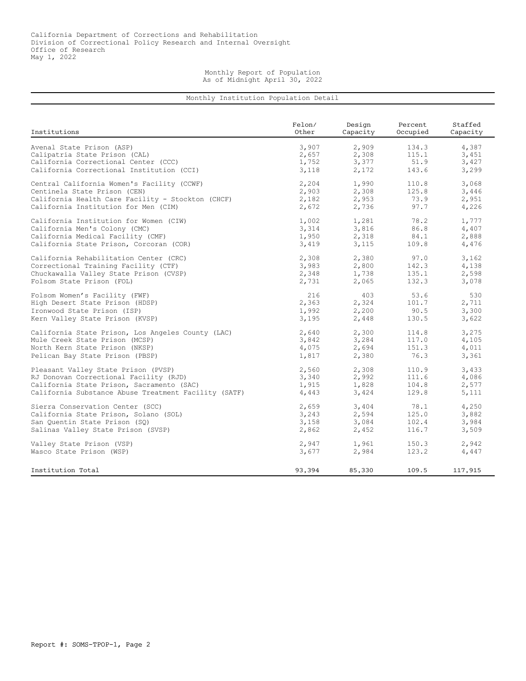## Monthly Report of Population As of Midnight April 30, 2022

## Monthly Institution Population Detail

| Institutions                                         | Felon/ | Design   | Percent  | Staffed  |
|------------------------------------------------------|--------|----------|----------|----------|
|                                                      | Other  | Capacity | Occupied | Capacity |
| Avenal State Prison (ASP)                            | 3,907  | 2,909    | 134.3    | 4,387    |
| Calipatria State Prison (CAL)                        | 2,657  | 2,308    | 115.1    | 3,451    |
| California Correctional Center (CCC)                 | 1,752  | 3,377    | 51.9     | 3,427    |
| California Correctional Institution (CCI)            | 3,118  | 2,172    | 143.6    | 3,299    |
| Central California Women's Facility (CCWF)           | 2,204  | 1,990    | 110.8    | 3,068    |
| Centinela State Prison (CEN)                         | 2,903  | 2,308    | 125.8    | 3,446    |
| California Health Care Facility - Stockton (CHCF)    | 2,182  | 2,953    | 73.9     | 2,951    |
| California Institution for Men (CIM)                 | 2,672  | 2,736    | 97.7     | 4,226    |
| California Institution for Women (CIW)               | 1,002  | 1,281    | 78.2     | 1,777    |
| California Men's Colony (CMC)                        | 3,314  | 3,816    | 86.8     | 4,407    |
| California Medical Facility (CMF)                    | 1,950  | 2,318    | 84.1     | 2,888    |
| California State Prison, Corcoran (COR)              | 3,419  | 3,115    | 109.8    | 4,476    |
| California Rehabilitation Center (CRC)               | 2,308  | 2,380    | 97.0     | 3,162    |
| Correctional Training Facility (CTF)                 | 3,983  | 2,800    | 142.3    | 4,138    |
| Chuckawalla Valley State Prison (CVSP)               | 2,348  | 1,738    | 135.1    | 2,598    |
| Folsom State Prison (FOL)                            | 2,731  | 2,065    | 132.3    | 3,078    |
| Folsom Women's Facility (FWF)                        | 216    | 403      | 53.6     | 530      |
| High Desert State Prison (HDSP)                      | 2,363  | 2,324    | 101.7    | 2,711    |
| Ironwood State Prison (ISP)                          | 1,992  | 2,200    | 90.5     | 3,300    |
| Kern Valley State Prison (KVSP)                      | 3,195  | 2,448    | 130.5    | 3,622    |
| California State Prison, Los Angeles County (LAC)    | 2,640  | 2,300    | 114.8    | 3,275    |
| Mule Creek State Prison (MCSP)                       | 3,842  | 3,284    | 117.0    | 4,105    |
| North Kern State Prison (NKSP)                       | 4,075  | 2,694    | 151.3    | 4,011    |
| Pelican Bay State Prison (PBSP)                      | 1,817  | 2,380    | 76.3     | 3,361    |
| Pleasant Valley State Prison (PVSP)                  | 2,560  | 2,308    | 110.9    | 3,433    |
| RJ Donovan Correctional Facility (RJD)               | 3,340  | 2,992    | 111.6    | 4,086    |
| California State Prison, Sacramento (SAC)            | 1,915  | 1,828    | 104.8    | 2,577    |
| California Substance Abuse Treatment Facility (SATF) | 4,443  | 3,424    | 129.8    | 5,111    |
| Sierra Conservation Center (SCC)                     | 2,659  | 3,404    | 78.1     | 4,250    |
| California State Prison, Solano (SOL)                | 3,243  | 2,594    | 125.0    | 3,882    |
| San Quentin State Prison (SQ)                        | 3,158  | 3,084    | 102.4    | 3,984    |
| Salinas Valley State Prison (SVSP)                   | 2,862  | 2,452    | 116.7    | 3,509    |
| Valley State Prison (VSP)                            | 2,947  | 1,961    | 150.3    | 2,942    |
| Wasco State Prison (WSP)                             | 3,677  | 2,984    | 123.2    | 4,447    |
| Institution Total                                    | 93,394 | 85,330   | 109.5    | 117,915  |